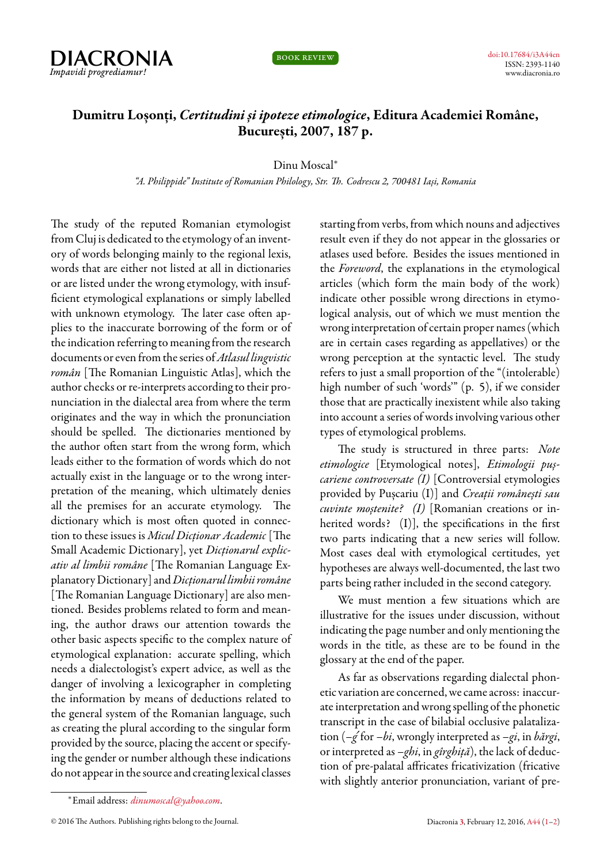



## **Dumitru Loșonți,** *Certitudini și ipoteze etimologice***, Editura Academiei Române, București, 2007, 187 p.**

Dinu Moscal*<sup>∗</sup>*

*"A. Philippide" Institute of Romanian Philology, Str. Th. Codrescu 2, 700481 Iași, Romania*

<span id="page-0-0"></span>The study of the reputed Romanian etymologist from Cluj is dedicated to the etymology of an inventory of words belonging mainly to the regional lexis, words that are either not listed at all in dictionaries or are listed under the wrong etymology, with insufficient etymological explanations or simply labelled with unknown etymology. The later case often applies to the inaccurate borrowing of the form or of the indication referring to meaning from the research documents or evenfrom the series of*Atlasul lingvistic român* [The Romanian Linguistic Atlas], which the author checks or re-interprets according to their pronunciation in the dialectal area from where the term originates and the way in which the pronunciation should be spelled. The dictionaries mentioned by the author often start from the wrong form, which leads either to the formation of words which do not actually exist in the language or to the wrong interpretation of the meaning, which ultimately denies all the premises for an accurate etymology. The dictionary which is most often quoted in connection to these issues is *Micul Dicționar Academic* [The Small Academic Dictionary], yet *Dicționarul explicativ al limbii române* [The Romanian Language Explanatory Dictionary] and*Dicționarul limbii române* [The Romanian Language Dictionary] are also mentioned. Besides problems related to form and meaning, the author draws our attention towards the other basic aspects specific to the complex nature of etymological explanation: accurate spelling, which needs a dialectologist's expert advice, as well as the danger of involving a lexicographer in completing the information by means of deductions related to the general system of the Romanian language, such as creating the plural according to the singular form provided by the source, placing the accent or specifying the gender or number although these indications do not appear in the source and creating lexical classes

starting from verbs, from which nouns and adjectives result even if they do not appear in the glossaries or atlases used before. Besides the issues mentioned in the *Foreword*, the explanations in the etymological articles (which form the main body of the work) indicate other possible wrong directions in etymological analysis, out of which we must mention the wrong interpretation of certain proper names (which are in certain cases regarding as appellatives) or the wrong perception at the syntactic level. The study refers to just a small proportion of the "(intolerable) high number of such 'words'" (p. 5), if we consider those that are practically inexistent while also taking into account a series of words involving various other types of etymological problems.

The study is structured in three parts: *Note etimologice* [Etymological notes], *Etimologii pușcariene controversate (I)* [Controversial etymologies provided by Pușcariu (I)] and *Creații românești sau cuvinte moștenite? (I)* [Romanian creations or inherited words? (I)], the specifications in the first two parts indicating that a new series will follow. Most cases deal with etymological certitudes, yet hypotheses are always well-documented, the last two parts being rather included in the second category.

We must mention a few situations which are illustrative for the issues under discussion, without indicating the page number and only mentioning the words in the title, as these are to be found in the glossary at the end of the paper.

As far as observations regarding dialectal phonetic variation are concerned, we came across: inaccurate interpretation and wrong spelling of the phonetic transcript in the case of bilabial occlusive palatalization (*–g*´for *–bi*, wrongly interpreted as *–gi*, in *bărgi*, or interpreted as *–ghi*, in *gîrghiță*), the lack of deduction of pre-palatal affricates fricativization (fricative with slightly anterior pronunciation, variant of pre-

*<sup>∗</sup>*Email address: *[dinumoscal@yahoo.com](mailto:dinumoscal@yahoo.com)*.